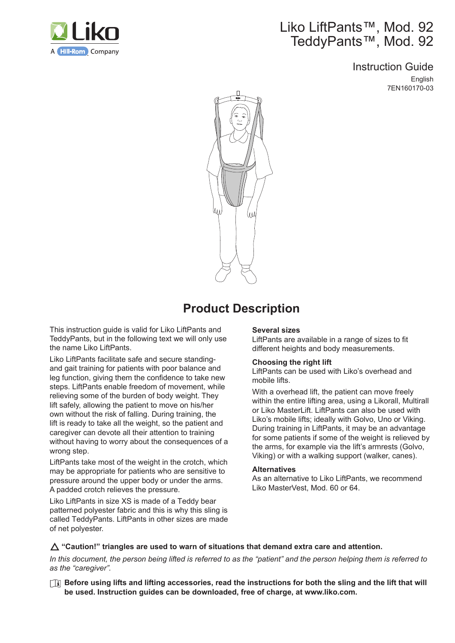

# Liko LiftPants™, Mod. 92 TeddyPants™, Mod. 92

Instruction Guide English 7EN160170-03



# **Product Description**

This instruction guide is valid for Liko LiftPants and TeddyPants, but in the following text we will only use the name Liko LiftPants.

Liko LiftPants facilitate safe and secure standingand gait training for patients with poor balance and leg function, giving them the confidence to take new steps. LiftPants enable freedom of movement, while relieving some of the burden of body weight. They lift safely, allowing the patient to move on his/her own without the risk of falling. During training, the lift is ready to take all the weight, so the patient and caregiver can devote all their attention to training without having to worry about the consequences of a wrong step.

LiftPants take most of the weight in the crotch, which may be appropriate for patients who are sensitive to pressure around the upper body or under the arms. A padded crotch relieves the pressure.

Liko LiftPants in size XS is made of a Teddy bear patterned polyester fabric and this is why this sling is called TeddyPants. LiftPants in other sizes are made of net polyester.

#### **Several sizes**

LiftPants are available in a range of sizes to fit different heights and body measurements.

#### **Choosing the right lift**

LiftPants can be used with Liko's overhead and mobile lifts.

With a overhead lift, the patient can move freely within the entire lifting area, using a Likorall, Multirall or Liko MasterLift. LiftPants can also be used with Liko's mobile lifts; ideally with Golvo, Uno or Viking. During training in LiftPants, it may be an advantage for some patients if some of the weight is relieved by the arms, for example via the lift's armrests (Golvo, Viking) or with a walking support (walker, canes).

#### **Alternatives**

As an alternative to Liko LiftPants, we recommend Liko MasterVest, Mod. 60 or 64.

### △ "Caution!" triangles are used to warn of situations that demand extra care and attention.

*In this document, the person being lifted is referred to as the "patient" and the person helping them is referred to as the "caregiver".*

**Before using lifts and lifting accessories, read the instructions for both the sling and the lift that will be used. Instruction guides can be downloaded, free of charge, at www.liko.com.**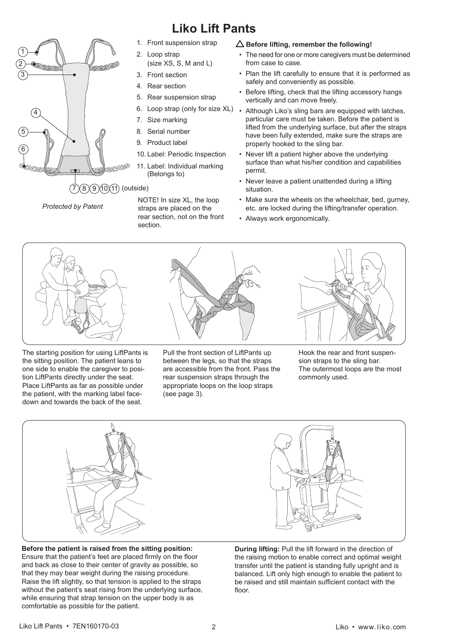

# **Liko Lift Pants**

- 1. Front suspension strap
- 2. Loop strap (size XS, S, M and L)
- 3. Front section
- 4. Rear section
- 5. Rear suspension strap
- 6. Loop strap (only for size XL)
- 7. Size marking
- 8. Serial number
- 9. Product label
- 10. Label: Periodic Inspection
- 11. Label: Individual marking (Belongs to)

 *Protected by Patent*

NOTE! In size XL, the loop straps are placed on the rear section, not on the front section.

### $\Delta$  Before lifting, remember the following!

- The need for one or more caregivers must be determined from case to case.
- Plan the lift carefully to ensure that it is performed as safely and conveniently as possible.
- Before lifting, check that the lifting accessory hangs vertically and can move freely.
- Although Liko's sling bars are equipped with latches, particular care must be taken. Before the patient is lifted from the underlying surface, but after the straps have been fully extended, make sure the straps are properly hooked to the sling bar.
- Never lift a patient higher above the underlying surface than what his/her condition and capabilities permit.
- Never leave a patient unattended during a lifting situation.
- Make sure the wheels on the wheelchair, bed, gurney, etc. are locked during the lifting/transfer operation.
- Always work ergonomically.



The starting position for using LiftPants is the sitting position. The patient leans to one side to enable the caregiver to position LiftPants directly under the seat. Place LiftPants as far as possible under the patient, with the marking label facedown and towards the back of the seat.



Pull the front section of LiftPants up between the legs, so that the straps are accessible from the front. Pass the rear suspension straps through the appropriate loops on the loop straps (see page 3).



Hook the rear and front suspension straps to the sling bar. The outermost loops are the most commonly used.



**Before the patient is raised from the sitting position:**  Ensure that the patient's feet are placed firmly on the floor and back as close to their center of gravity as possible, so that they may bear weight during the raising procedure. Raise the lift slightly, so that tension is applied to the straps without the patient's seat rising from the underlying surface, while ensuring that strap tension on the upper body is as comfortable as possible for the patient.



**During lifting:** Pull the lift forward in the direction of the raising motion to enable correct and optimal weight transfer until the patient is standing fully upright and is balanced. Lift only high enough to enable the patient to be raised and still maintain sufficient contact with the floor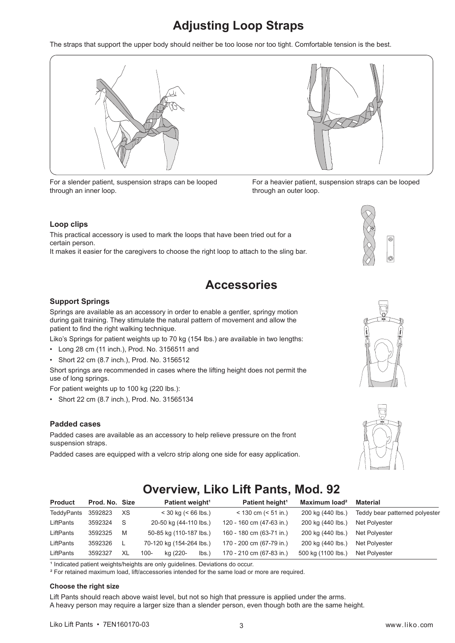# **Adjusting Loop Straps**

The straps that support the upper body should neither be too loose nor too tight. Comfortable tension is the best.



For a slender patient, suspension straps can be looped through an inner loop.



For a heavier patient, suspension straps can be looped through an outer loop.

#### **Loop clips**

This practical accessory is used to mark the loops that have been tried out for a certain person.

It makes it easier for the caregivers to choose the right loop to attach to the sling bar.

# **Accessories**

#### **Support Springs**

Springs are available as an accessory in order to enable a gentler, springy motion during gait training. They stimulate the natural pattern of movement and allow the patient to find the right walking technique.

Liko's Springs for patient weights up to 70 kg (154 lbs.) are available in two lengths:

- Long 28 cm (11 inch.), Prod. No. 3156511 and
- Short 22 cm (8.7 inch.), Prod. No. 3156512

Short springs are recommended in cases where the lifting height does not permit the use of long springs.

For patient weights up to 100 kg (220 lbs.):

• Short 22 cm (8.7 inch.), Prod. No. 31565134

#### **Padded cases**

Padded cases are available as an accessory to help relieve pressure on the front suspension straps.

Padded cases are equipped with a velcro strip along one side for easy application.





# **Overview, Liko Lift Pants, Mod. 92**

| <b>Product</b> | Prod. No. Size |     | Patient weight <sup>1</sup> | Patient height <sup>1</sup> | Maximum load <sup>2</sup> | Material                       |
|----------------|----------------|-----|-----------------------------|-----------------------------|---------------------------|--------------------------------|
| TeddyPants     | 3592823        | XS  | $<$ 30 kg ( $<$ 66 lbs.)    | $<$ 130 cm ( $<$ 51 in.)    | 200 kg (440 lbs.)         | Teddy bear patterned polyester |
| LiftPants      | 3592324        | - S | 20-50 kg (44-110 lbs.)      | 120 - 160 cm (47-63 in.)    | 200 kg (440 lbs.)         | Net Polyester                  |
| LiftPants      | 3592325        | M   | 50-85 kg (110-187 lbs.)     | 160 - 180 cm (63-71 in.)    | 200 kg (440 lbs.)         | Net Polyester                  |
| LiftPants      | 3592326        |     | 70-120 kg (154-264 lbs.)    | 170 - 200 cm (67-79 in.)    | 200 kg (440 lbs.)         | Net Polyester                  |
| LiftPants      | 3592327        | XL  | kg (220-<br>$100 -$<br>lbs. | 170 - 210 cm (67-83 in.)    | 500 kg (1100 lbs.)        | Net Polyester                  |

<sup>1</sup> Indicated patient weights/heights are only guidelines. Deviations do occur.

<sup>2</sup> For retained maximum load, lift/accessories intended for the same load or more are required.

#### **Choose the right size**

Lift Pants should reach above waist level, but not so high that pressure is applied under the arms. A heavy person may require a larger size than a slender person, even though both are the same height.